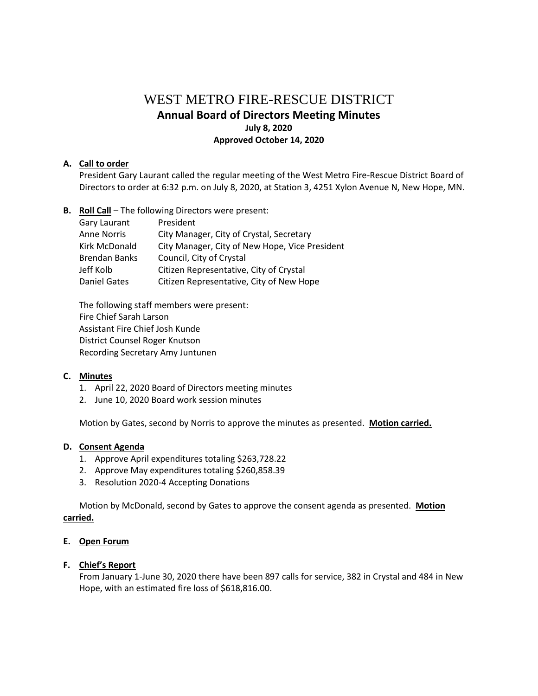# WEST METRO FIRE-RESCUE DISTRICT **Annual Board of Directors Meeting Minutes July 8, 2020 Approved October 14, 2020**

## **A. Call to order**

President Gary Laurant called the regular meeting of the West Metro Fire-Rescue District Board of Directors to order at 6:32 p.m. on July 8, 2020, at Station 3, 4251 Xylon Avenue N, New Hope, MN.

**B. Roll Call** – The following Directors were present:

| Gary Laurant         | President                                      |
|----------------------|------------------------------------------------|
| <b>Anne Norris</b>   | City Manager, City of Crystal, Secretary       |
| Kirk McDonald        | City Manager, City of New Hope, Vice President |
| <b>Brendan Banks</b> | Council, City of Crystal                       |
| Jeff Kolb            | Citizen Representative, City of Crystal        |
| <b>Daniel Gates</b>  | Citizen Representative, City of New Hope       |

The following staff members were present: Fire Chief Sarah Larson Assistant Fire Chief Josh Kunde District Counsel Roger Knutson Recording Secretary Amy Juntunen

## **C. Minutes**

- 1. April 22, 2020 Board of Directors meeting minutes
- 2. June 10, 2020 Board work session minutes

Motion by Gates, second by Norris to approve the minutes as presented. **Motion carried.**

## **D. Consent Agenda**

- 1. Approve April expenditures totaling \$263,728.22
- 2. Approve May expenditures totaling \$260,858.39
- 3. Resolution 2020-4 Accepting Donations

Motion by McDonald, second by Gates to approve the consent agenda as presented. **Motion carried.**

## **E. Open Forum**

## **F. Chief's Report**

From January 1-June 30, 2020 there have been 897 calls for service, 382 in Crystal and 484 in New Hope, with an estimated fire loss of \$618,816.00.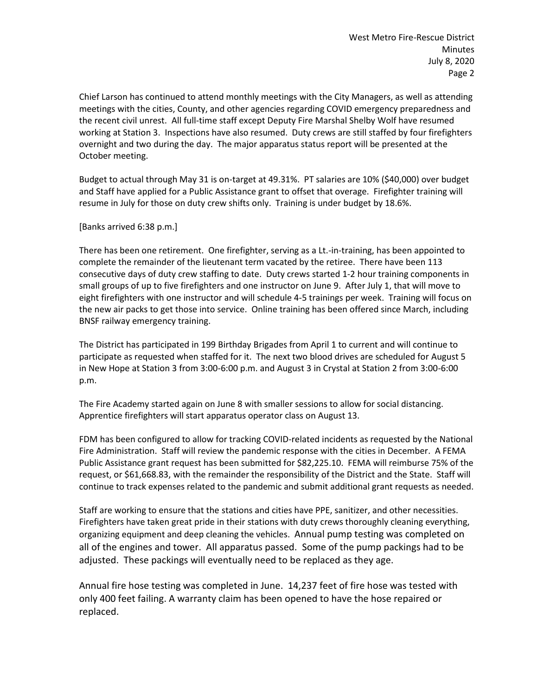Chief Larson has continued to attend monthly meetings with the City Managers, as well as attending meetings with the cities, County, and other agencies regarding COVID emergency preparedness and the recent civil unrest. All full-time staff except Deputy Fire Marshal Shelby Wolf have resumed working at Station 3. Inspections have also resumed. Duty crews are still staffed by four firefighters overnight and two during the day. The major apparatus status report will be presented at the October meeting.

Budget to actual through May 31 is on-target at 49.31%. PT salaries are 10% (\$40,000) over budget and Staff have applied for a Public Assistance grant to offset that overage. Firefighter training will resume in July for those on duty crew shifts only. Training is under budget by 18.6%.

[Banks arrived 6:38 p.m.]

There has been one retirement. One firefighter, serving as a Lt.-in-training, has been appointed to complete the remainder of the lieutenant term vacated by the retiree. There have been 113 consecutive days of duty crew staffing to date. Duty crews started 1-2 hour training components in small groups of up to five firefighters and one instructor on June 9. After July 1, that will move to eight firefighters with one instructor and will schedule 4-5 trainings per week. Training will focus on the new air packs to get those into service. Online training has been offered since March, including BNSF railway emergency training.

The District has participated in 199 Birthday Brigades from April 1 to current and will continue to participate as requested when staffed for it. The next two blood drives are scheduled for August 5 in New Hope at Station 3 from 3:00-6:00 p.m. and August 3 in Crystal at Station 2 from 3:00-6:00 p.m.

The Fire Academy started again on June 8 with smaller sessions to allow for social distancing. Apprentice firefighters will start apparatus operator class on August 13.

FDM has been configured to allow for tracking COVID-related incidents as requested by the National Fire Administration. Staff will review the pandemic response with the cities in December. A FEMA Public Assistance grant request has been submitted for \$82,225.10. FEMA will reimburse 75% of the request, or \$61,668.83, with the remainder the responsibility of the District and the State. Staff will continue to track expenses related to the pandemic and submit additional grant requests as needed.

Staff are working to ensure that the stations and cities have PPE, sanitizer, and other necessities. Firefighters have taken great pride in their stations with duty crews thoroughly cleaning everything, organizing equipment and deep cleaning the vehicles. Annual pump testing was completed on all of the engines and tower. All apparatus passed. Some of the pump packings had to be adjusted. These packings will eventually need to be replaced as they age.

Annual fire hose testing was completed in June. 14,237 feet of fire hose was tested with only 400 feet failing. A warranty claim has been opened to have the hose repaired or replaced.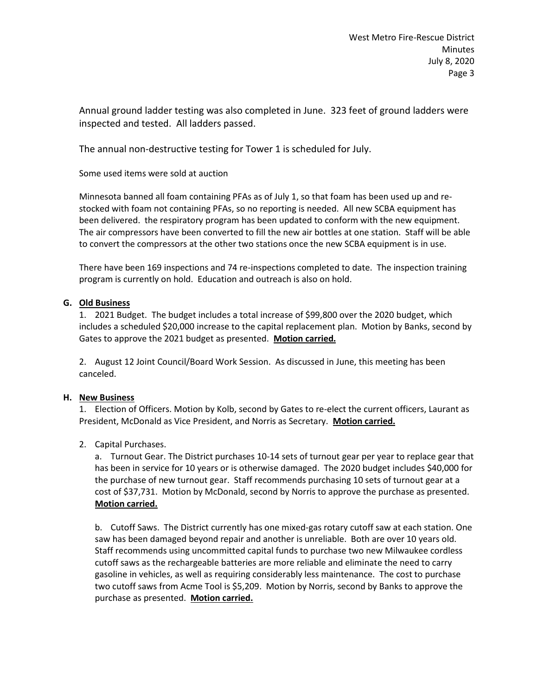Annual ground ladder testing was also completed in June. 323 feet of ground ladders were inspected and tested. All ladders passed.

The annual non-destructive testing for Tower 1 is scheduled for July.

Some used items were sold at auction

Minnesota banned all foam containing PFAs as of July 1, so that foam has been used up and restocked with foam not containing PFAs, so no reporting is needed. All new SCBA equipment has been delivered. the respiratory program has been updated to conform with the new equipment. The air compressors have been converted to fill the new air bottles at one station. Staff will be able to convert the compressors at the other two stations once the new SCBA equipment is in use.

There have been 169 inspections and 74 re-inspections completed to date. The inspection training program is currently on hold. Education and outreach is also on hold.

## **G. Old Business**

1. 2021 Budget. The budget includes a total increase of \$99,800 over the 2020 budget, which includes a scheduled \$20,000 increase to the capital replacement plan. Motion by Banks, second by Gates to approve the 2021 budget as presented. **Motion carried.**

2. August 12 Joint Council/Board Work Session. As discussed in June, this meeting has been canceled.

## **H. New Business**

1. Election of Officers. Motion by Kolb, second by Gates to re-elect the current officers, Laurant as President, McDonald as Vice President, and Norris as Secretary. **Motion carried.**

## 2. Capital Purchases.

a. Turnout Gear. The District purchases 10-14 sets of turnout gear per year to replace gear that has been in service for 10 years or is otherwise damaged. The 2020 budget includes \$40,000 for the purchase of new turnout gear. Staff recommends purchasing 10 sets of turnout gear at a cost of \$37,731. Motion by McDonald, second by Norris to approve the purchase as presented. **Motion carried.**

b. Cutoff Saws. The District currently has one mixed-gas rotary cutoff saw at each station. One saw has been damaged beyond repair and another is unreliable. Both are over 10 years old. Staff recommends using uncommitted capital funds to purchase two new Milwaukee cordless cutoff saws as the rechargeable batteries are more reliable and eliminate the need to carry gasoline in vehicles, as well as requiring considerably less maintenance. The cost to purchase two cutoff saws from Acme Tool is \$5,209. Motion by Norris, second by Banks to approve the purchase as presented. **Motion carried.**